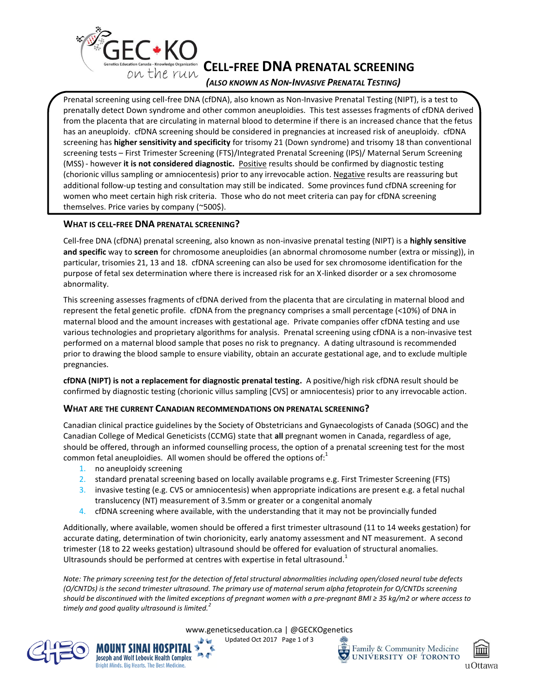

*(ALSO KNOWN AS NON-INVASIVE PRENATAL TESTING)*

Prenatal screening using cell-free DNA (cfDNA), also known as Non-Invasive Prenatal Testing (NIPT), is a test to prenatally detect Down syndrome and other common aneuploidies. This test assesses fragments of cfDNA derived from the placenta that are circulating in maternal blood to determine if there is an increased chance that the fetus has an aneuploidy. cfDNA screening should be considered in pregnancies at increased risk of aneuploidy. cfDNA screening has **higher sensitivity and specificity** for trisomy 21 (Down syndrome) and trisomy 18 than conventional screening tests – First Trimester Screening (FTS)/Integrated Prenatal Screening (IPS)/ Maternal Serum Screening (MSS) - however it is not considered diagnostic. Positive results should be confirmed by diagnostic testing (chorionic villus sampling or amniocentesis) prior to any irrevocable action. Negative results are reassuring but additional follow-up testing and consultation may still be indicated. Some provinces fund cfDNA screening for women who meet certain high risk criteria. Those who do not meet criteria can pay for cfDNA screening themselves. Price varies by company (~500\$).

# **WHAT IS CELL-FREE DNA PRENATAL SCREENING?**

Cell-free DNA (cfDNA) prenatal screening, also known as non-invasive prenatal testing (NIPT) is a **highly sensitive and specific** way to **screen** for chromosome aneuploidies (an abnormal chromosome number (extra or missing)), in particular, trisomies 21, 13 and 18. cfDNA screening can also be used for sex chromosome identification for the purpose of fetal sex determination where there is increased risk for an X-linked disorder or a sex chromosome abnormality.

This screening assesses fragments of cfDNA derived from the placenta that are circulating in maternal blood and represent the fetal genetic profile. cfDNA from the pregnancy comprises a small percentage (<10%) of DNA in maternal blood and the amount increases with gestational age. Private companies offer cfDNA testing and use various technologies and proprietary algorithms for analysis. Prenatal screening using cfDNA is a non-invasive test performed on a maternal blood sample that poses no risk to pregnancy. A dating ultrasound is recommended prior to drawing the blood sample to ensure viability, obtain an accurate gestational age, and to exclude multiple pregnancies.

**cfDNA (NIPT) is not a replacement for diagnostic prenatal testing.** A positive/high risk cfDNA result should be confirmed by diagnostic testing (chorionic villus sampling [CVS] or amniocentesis) prior to any irrevocable action.

# **WHAT ARE THE CURRENT CANADIAN RECOMMENDATIONS ON PRENATAL SCREENING?**

Canadian clinical practice guidelines by the Society of Obstetricians and Gynaecologists of Canada (SOGC) and the Canadian College of Medical Geneticists (CCMG) state that **all** pregnant women in Canada, regardless of age, should be offered, through an informed counselling process, the option of a prenatal screening test for the most common fetal aneuploidies. All women should be offered the options of: $<sup>1</sup>$ </sup>

1. no aneuploidy screening

MOUNT SINAI HOSPITAL

Joseph and Wolf Lebovic Health Complex Bright Minds. Big Hearts. The Best Medicine.

**A** 

- 2. standard prenatal screening based on locally available programs e.g. First Trimester Screening (FTS)
- 3. invasive testing (e.g. CVS or amniocentesis) when appropriate indications are present e.g. a fetal nuchal translucency (NT) measurement of 3.5mm or greater or a congenital anomaly
- 4. cfDNA screening where available, with the understanding that it may not be provincially funded

Additionally, where available, women should be offered a first trimester ultrasound (11 to 14 weeks gestation) for accurate dating, determination of twin chorionicity, early anatomy assessment and NT measurement. A second trimester (18 to 22 weeks gestation) ultrasound should be offered for evaluation of structural anomalies. Ultrasounds should be performed at centres with expertise in fetal ultrasound.<sup>1</sup>

*Note: The primary screening test for the detection of fetal structural abnormalities including open/closed neural tube defects (O/CNTDs) is the second trimester ultrasound. The primary use of maternal serum alpha fetoprotein for O/CNTDs screening should be discontinued with the limited exceptions of pregnant women with a pre-pregnant BMI ≥ 35 kg/m2 or where access to timely and good quality ultrasound is limited.<sup>2</sup>*

www.geneticseducation.ca | @GECKOgenetics



Updated Oct 2017 Page 1 of 3

Family & Community Medicine  $\mathbf{E}$ UNIVERSITY OF TORONTO

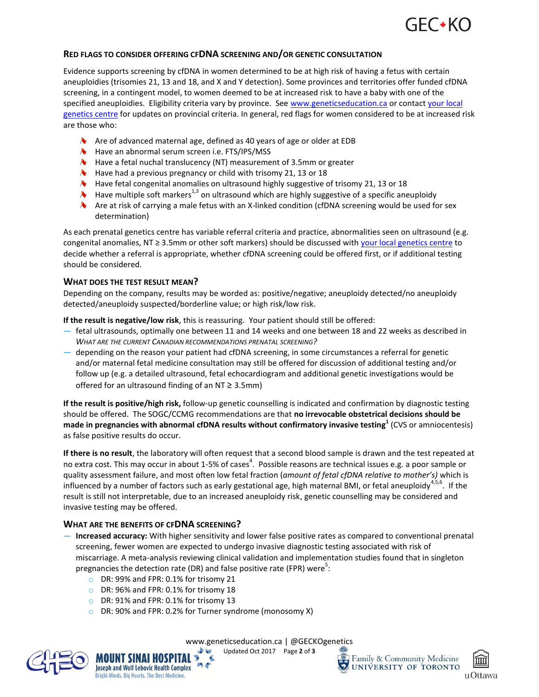

## **RED FLAGS TO CONSIDER OFFERING CFDNA SCREENING AND/OR GENETIC CONSULTATION**

Evidence supports screening by cfDNA in women determined to be at high risk of having a fetus with certain aneuploidies (trisomies 21, 13 and 18, and X and Y detection). Some provinces and territories offer funded cfDNA screening, in a contingent model, to women deemed to be at increased risk to have a baby with one of the specified aneuploidies. Eligibility criteria vary by province. See [www.geneticseducation.ca](http://www.geneticseducation.ca/) or contact [your local](http://gecko-cegco.ca/genetics-centres/canada/canadian_clinics/)  [genetics centre](http://gecko-cegco.ca/genetics-centres/canada/canadian_clinics/) for updates on provincial criteria. In general, red flags for women considered to be at increased risk are those who:

- $\triangle$  Are of advanced maternal age, defined as 40 years of age or older at EDB
- **W** Have an abnormal serum screen i.e. FTS/IPS/MSS
- $\bullet$  Have a fetal nuchal translucency (NT) measurement of 3.5mm or greater
- $\blacklozenge$  Have had a previous pregnancy or child with trisomy 21, 13 or 18
- $\sim$  Have fetal congenital anomalies on ultrasound highly suggestive of trisomy 21, 13 or 18
- $\blacklozenge$  Have multiple soft markers<sup>1,3</sup> on ultrasound which are highly suggestive of a specific aneuploidy
- $\lambda$  Are at risk of carrying a male fetus with an X-linked condition (cfDNA screening would be used for sex determination)

As each prenatal genetics centre has variable referral criteria and practice, abnormalities seen on ultrasound (e.g. congenital anomalies, NT ≥ 3.5mm or other soft markers) should be discussed with [your local genetics centre](http://gecko-cegco.ca/genetics-centres/canada/canadian_clinics/) to decide whether a referral is appropriate, whether cfDNA screening could be offered first, or if additional testing should be considered.

### **WHAT DOES THE TEST RESULT MEAN?**

Depending on the company, results may be worded as: positive/negative; aneuploidy detected/no aneuploidy detected/aneuploidy suspected/borderline value; or high risk/low risk.

**If the result is negative/low risk**, this is reassuring. Your patient should still be offered:

- fetal ultrasounds, optimally one between 11 and 14 weeks and one between 18 and 22 weeks as described in *WHAT ARE THE CURRENT CANADIAN RECOMMENDATIONS PRENATAL SCREENING?*
- depending on the reason your patient had cfDNA screening, in some circumstances a referral for genetic and/or maternal fetal medicine consultation may still be offered for discussion of additional testing and/or follow up (e.g. a detailed ultrasound, fetal echocardiogram and additional genetic investigations would be offered for an ultrasound finding of an  $NT \geq 3.5mm$ )

**If the result is positive/high risk,** follow-up genetic counselling is indicated and confirmation by diagnostic testing should be offered. The SOGC/CCMG recommendations are that **no irrevocable obstetrical decisions should be made in pregnancies with abnormal cfDNA results without confirmatory invasive testing<sup>1</sup>** (CVS or amniocentesis) as false positive results do occur.

**If there is no result**, the laboratory will often request that a second blood sample is drawn and the test repeated at no extra cost. This may occur in about 1-5% of cases<sup>4</sup>. Possible reasons are technical issues e.g. a poor sample or quality assessment failure, and most often low fetal fraction (*amount of fetal cfDNA relative to mother's)* which is influenced by a number of factors such as early gestational age, high maternal BMI, or fetal aneuploidy<sup>4,5,6</sup>. If the result is still not interpretable, due to an increased aneuploidy risk, genetic counselling may be considered and invasive testing may be offered.

### **WHAT ARE THE BENEFITS OF CFDNA SCREENING?**

- **Increased accuracy:** With higher sensitivity and lower false positive rates as compared to conventional prenatal screening, fewer women are expected to undergo invasive diagnostic testing associated with risk of miscarriage. A meta-analysis reviewing clinical validation and implementation studies found that in singleton pregnancies the detection rate (DR) and false positive rate (FPR) were<sup>5</sup>:
	- o DR: 99% and FPR: 0.1% for trisomy 21
	- o DR: 96% and FPR: 0.1% for trisomy 18
	- o DR: 91% and FPR: 0.1% for trisomy 13

MOUNT SINAI HOSPITAL >

Joseph and Wolf Lebovic Health Complex **Bright Minds, Big Hearts, The Best Medicine** 

o DR: 90% and FPR: 0.2% for Turner syndrome (monosomy X)

ÌА.



Updated Oct 2017 Page **2** of **3**